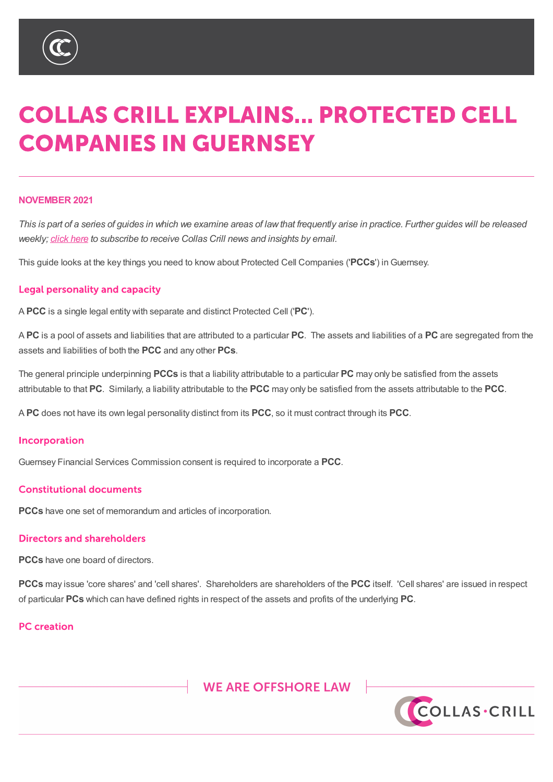

# XXX UPWIVIDI

# **COLLAS CRILL EXPLAINS... PROTECTED CELL COMPANIES IN GUERNSEY**

#### **NOVEMBER 2021**

This is part of a series of guides in which we examine areas of law that frequently arise in practice. Further guides will be released *weekly; click here to subscribe to receive Collas Crill news and insights by email.*

This guide looks at the key things you need to know about Protected Cell Companies ('**PCCs**') inGuernsey.

#### **Legal personality and capacity**

A **PCC** is a single legal entity with separate and distinct Protected Cell ('**PC**').

A **PC** is a pool of assets and liabilities that are attributed to a particular **PC**. The assets and liabilities of a **PC** are segregated from the assets and liabilities of both the **PCC** and any other **PCs**.

The general principle underpinning **PCCs** is that a liability attributable to a particular **PC** may only be satisfied from the assets attributable to that **PC**. Similarly, a liability attributable to the **PCC** may only be satisfied from the assets attributable to the **PCC**.

A **PC** does not have its own legal personality distinct from its **PCC**, so it must contract through its **PCC**.

#### Incorporation

Guernsey Financial Services Commission consent is required to incorporate a **PCC**.

#### **Constitutional documents**

**PCCs** have one set of memorandum and articles of incorporation.

#### **Directors and shareholders**

**PCCs** have one board of directors.

**PCCs** may issue 'core shares' and 'cell shares'. Shareholders are shareholders of the **PCC** itself. 'Cell shares' are issued in respect of particular **PCs** which can have defined rights in respect of the assets and profits of the underlying **PC**.

# **PC** creation

**WE ARE OFFSHORE LAW** %9, \_ &D\PDQ \_ \*XHUQVH\ \_ -HUV**FOLLAS\*CRILLE** 7KLV QRWH LV DVXPPDU\RI WKH VXEMHFW DQG LV SURYLGHG I<br>EH VRXJKWA:KLOVW HYHU\FDUH KDV EHHQ WDNHQ LQ SURGXFL EH VRXJKW:KLOVWHYHU\FDUH KDV EHHQ WDNHQLQ SURGXFLQ PDWWHUV VHW RXW LQ LW \$OO FRS\ULJKW LQ WKLV PDWHULDO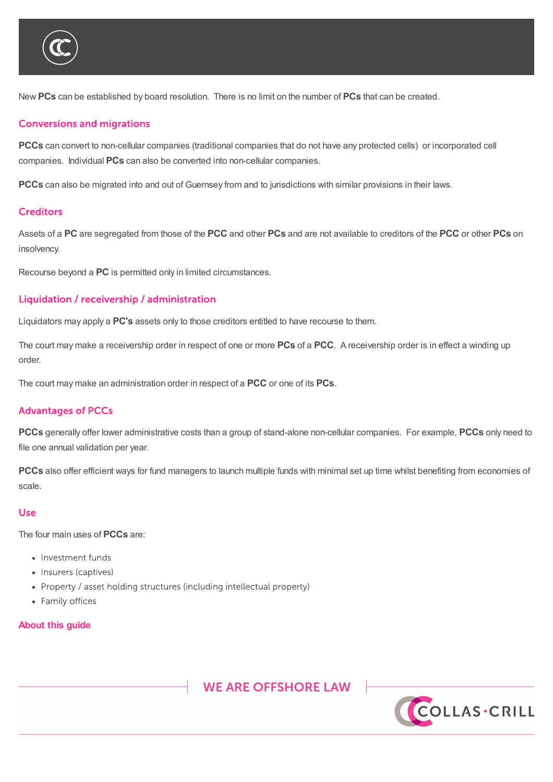

New **PCs** can be established by board resolution. There is no limit on the number of **PCs** that can be created.

#### **Conversions and migrations**

**PCCs** have one board of directors.

**PCCs** can convert to non-cellular companies (traditional companies that do not have any protected cells) or incorporated cell companies. Individual **PCs** can also be converted into non-cellular companies.

**PCCs** can also be migrated into and out of Guernsey from and to jurisdictions with similar provisions in their laws.

#### **Creditors**

Assets of a **PC** are segregated from those of the **PCC** and other **PCs** and are not available to creditors of the **PCC** or other **PCs** on insolvency.

Recourse beyond a **PC** is permitted only in limited circumstances.

#### Liquidation / receivership / administration

Liquidators may apply a **PC's** assets only to those creditors entitled to have recourse to them.

The court may make a receivership order in respect of one or more **PCs** of a **PCC**. A receivership order is in effect a winding up order.

The court may make an administration order in respect of a **PCC** or one of its **PCs**.

#### **Advantages of PCCs**

**PCCs** generally offer lower administrative costs than a group of stand-alone non-cellular companies. For example, **PCCs** only need to file one annual validation per year.

**PCCs** also offer efficient ways for fund managers to launch multiple funds with minimal set up time whilst benefiting from economies of scale.

#### Use

The four main uses of **PCCs** are:

- Investment funds
- Insurers (captives)
- Property / asset holding structures (including intellectual property)
- Family offices

#### **About this guide**



EH VRXJKW:KLOVWHYHU\FDUH KDV EHHQ WDNHQ LQ SURGXFLQ PDWWHUV VHW RXW LQ LW\$OO FRS\ULJKW LQ WKLV PDWHULDO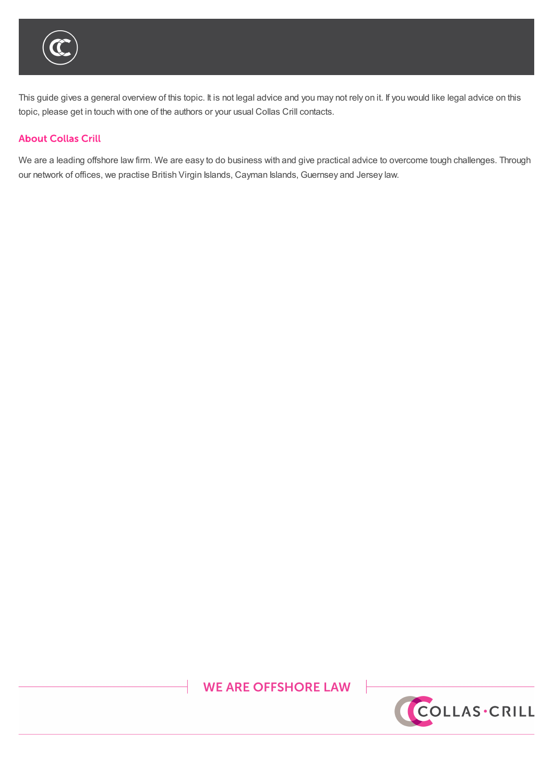

This guide gives a general overview of this topic. It is not legal advice and you may not rely on it. If you would like legal advice on this topic, please get in touch with one of the authors or your usual Collas Crill contacts.

### **About Collas Crill**

We are a leading offshore law firm. We are easy to do business with and give practical advice to overcome tough challenges. Through our network of offices, we practise British Virgin Islands, Cayman Islands, Guernsey and Jersey law.